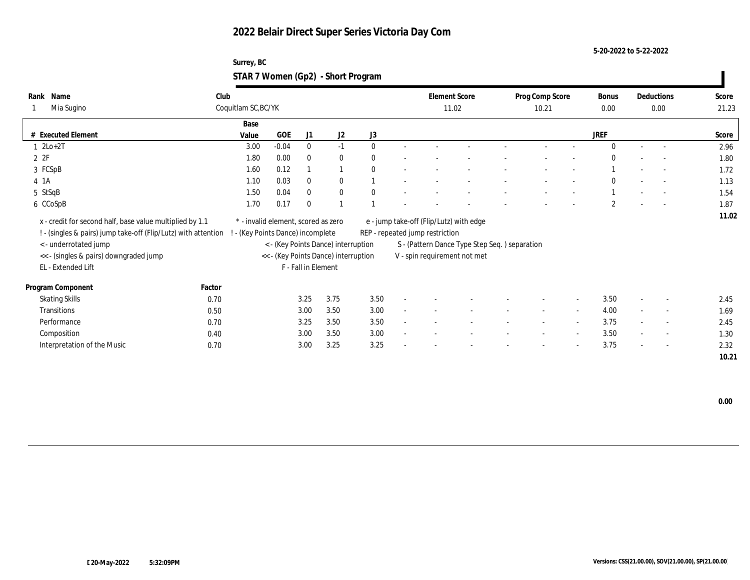**5-20-2022 to 5-22-2022**

| Surrey, BC                         |  |
|------------------------------------|--|
| STAR 7 Women (Gp2) - Short Program |  |

| Name<br>Rank<br>Mia Sugino                                                                                                 | Club<br>Coquitlam SC, BC/YK |                                                                        |                         |                                      |              |                                 | <b>Element Score</b><br>11.02                 | Prog Comp Score<br>10.21 |        | Bonus<br>0.00  |                | Deductions<br>0.00       | Score<br>21.23 |
|----------------------------------------------------------------------------------------------------------------------------|-----------------------------|------------------------------------------------------------------------|-------------------------|--------------------------------------|--------------|---------------------------------|-----------------------------------------------|--------------------------|--------|----------------|----------------|--------------------------|----------------|
|                                                                                                                            |                             | Base                                                                   |                         |                                      |              |                                 |                                               |                          |        |                |                |                          |                |
| # Executed Element                                                                                                         |                             | Value                                                                  | GOE<br>J1               | J2                                   | J3           |                                 |                                               |                          |        | <b>JREF</b>    |                |                          | Score          |
| $1 2Lo+2T$                                                                                                                 |                             | 3.00                                                                   | $-0.04$<br>$\mathbf{0}$ | $-1$                                 | $\theta$     |                                 |                                               |                          |        | $\Omega$       |                |                          | 2.96           |
| 2ZF                                                                                                                        |                             | 1.80                                                                   | 0.00<br>$\theta$        | $\bf{0}$                             | $\mathbf{0}$ |                                 |                                               |                          |        | $\mathbf{0}$   |                | $\sim$                   | 1.80           |
| 3 FCSpB                                                                                                                    |                             | 1.60                                                                   | 0.12                    |                                      | $\theta$     |                                 |                                               |                          |        |                |                | $\overline{\phantom{a}}$ | 1.72           |
| 4 1 A                                                                                                                      |                             | 1.10                                                                   | 0.03<br>$\mathbf{0}$    | $\mathbf{0}$                         |              |                                 |                                               |                          |        | $\mathbf{0}$   |                |                          | 1.13           |
| 5 StSqB                                                                                                                    |                             | 1.50                                                                   | 0.04<br>$\mathbf{0}$    | $\bf{0}$                             | $\theta$     |                                 |                                               |                          |        |                |                |                          | 1.54           |
| 6 CCoSpB                                                                                                                   |                             | 0.17<br>1.70                                                           | $\mathbf{0}$            | $\overline{1}$                       |              |                                 |                                               |                          |        | $\overline{2}$ |                | $\overline{\phantom{a}}$ | 1.87           |
| x - credit for second half, base value multiplied by 1.1<br>! - (singles & pairs) jump take-off (Flip/Lutz) with attention |                             | * - invalid element, scored as zero<br>- (Key Points Dance) incomplete |                         |                                      |              | REP - repeated jump restriction | e - jump take-off (Flip/Lutz) with edge       |                          |        |                |                |                          | 11.02          |
| < - underrotated jump                                                                                                      |                             |                                                                        |                         | < - (Key Points Dance) interruption  |              |                                 | S - (Pattern Dance Type Step Seq.) separation |                          |        |                |                |                          |                |
| << - (singles & pairs) downgraded jump                                                                                     |                             |                                                                        |                         | << - (Key Points Dance) interruption |              |                                 | V - spin requirement not met                  |                          |        |                |                |                          |                |
| EL - Extended Lift                                                                                                         |                             |                                                                        | F - Fall in Element     |                                      |              |                                 |                                               |                          |        |                |                |                          |                |
| Program Component                                                                                                          | Factor                      |                                                                        |                         |                                      |              |                                 |                                               |                          |        |                |                |                          |                |
| <b>Skating Skills</b>                                                                                                      | 0.70                        |                                                                        | 3.25                    | 3.75                                 | 3.50         |                                 |                                               | $\sim$                   | $\sim$ | 3.50           | $\overline{a}$ | $\overline{\phantom{a}}$ | 2.45           |
| Transitions                                                                                                                | 0.50                        |                                                                        | 3.00                    | 3.50                                 | 3.00         |                                 |                                               |                          | $\sim$ | 4.00           |                | $\sim$                   | 1.69           |
| Performance                                                                                                                | 0.70                        |                                                                        | 3.25                    | 3.50                                 | 3.50         |                                 |                                               | $\overline{\phantom{a}}$ | $\sim$ | 3.75           | $\sim$         | $\sim$                   | 2.45           |
| Composition                                                                                                                | 0.40                        |                                                                        | 3.00                    | 3.50                                 | 3.00         |                                 |                                               |                          | $\sim$ | 3.50           |                | $\sim$                   | 1.30           |
| Interpretation of the Music                                                                                                | 0.70                        |                                                                        | 3.00                    | 3.25                                 | 3.25         |                                 |                                               |                          | $\sim$ | 3.75           | $\sim$         | $\sim$                   | 2.32           |
|                                                                                                                            |                             |                                                                        |                         |                                      |              |                                 |                                               |                          |        |                |                |                          | 10.21          |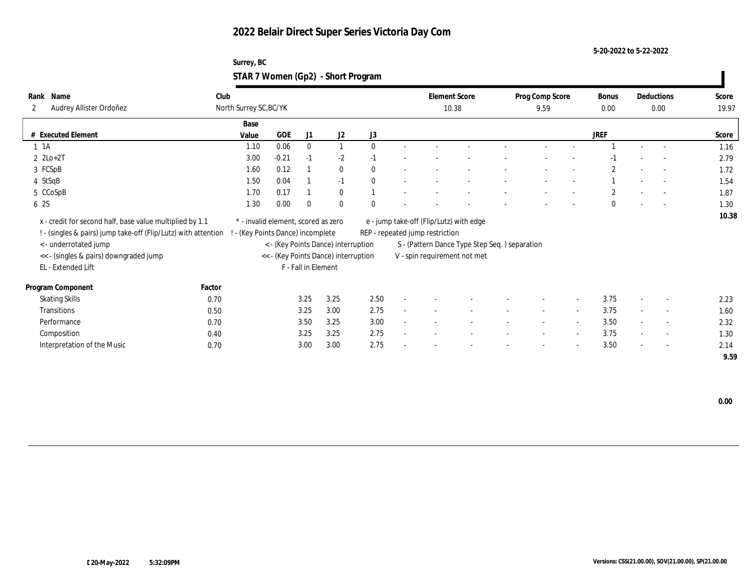#### **5-20-2022 to 5-22-2022**

#### **Surrey, BC STAR 7 Women (Gp2) - Short Program**

| Name<br>Rank<br>Audrey Allister Ordoñez<br>$\mathbf{2}$        | Club   | North Surrey SC, BC/YK              |                     |                                      |              |    | <b>Element Score</b>            | 10.38                                         | Prog Comp Score<br>9.59  |                          | Bonus<br>0.00  |        | Deductions<br>0.00       | Score<br>19.97 |
|----------------------------------------------------------------|--------|-------------------------------------|---------------------|--------------------------------------|--------------|----|---------------------------------|-----------------------------------------------|--------------------------|--------------------------|----------------|--------|--------------------------|----------------|
|                                                                |        | Base                                |                     |                                      |              |    |                                 |                                               |                          |                          |                |        |                          |                |
| # Executed Element                                             | Value  | GOE                                 | J1                  | J2                                   | J3           |    |                                 |                                               |                          |                          | <b>JREF</b>    |        |                          | Score          |
| $1 \t1A$                                                       |        | 0.06<br>1.10                        | $\bf{0}$            | $\mathbf{1}$                         | $\theta$     |    |                                 |                                               |                          |                          |                |        |                          | 1.16           |
| $2 \text{ } 2\text{Lo}+2\text{T}$                              |        | 3.00<br>$-0.21$                     | $-1$                | $-2$                                 | $-1$         |    |                                 |                                               |                          |                          | -1             |        |                          | 2.79           |
| 3 FCSpB                                                        |        | 0.12<br>1.60                        |                     | $\bf{0}$                             | $\mathbf{0}$ |    |                                 |                                               |                          |                          | $\overline{2}$ |        | $\sim$                   | 1.72           |
| 4 StSqB                                                        |        | 0.04<br>1.50                        |                     | $-1$                                 | $\theta$     |    |                                 |                                               |                          |                          |                |        |                          | 1.54           |
| 5 CCoSpB                                                       |        | 1.70<br>0.17                        |                     | $\mathbf{0}$                         |              |    |                                 |                                               |                          |                          | $\overline{c}$ |        |                          | 1.87           |
| 6 2S                                                           |        | 1.30<br>0.00                        | $\bf{0}$            | $\mathbf{0}$                         | $\theta$     |    |                                 |                                               |                          |                          | $\Omega$       |        | $\overline{\phantom{a}}$ | 1.30           |
| x - credit for second half, base value multiplied by 1.1       |        | * - invalid element, scored as zero |                     |                                      |              |    |                                 | e - jump take-off (Flip/Lutz) with edge       |                          |                          |                |        |                          | 10.38          |
| ! - (singles & pairs) jump take-off (Flip/Lutz) with attention |        | - (Key Points Dance) incomplete     |                     |                                      |              |    | REP - repeated jump restriction |                                               |                          |                          |                |        |                          |                |
| < - underrotated jump                                          |        |                                     |                     | < - (Key Points Dance) interruption  |              |    |                                 | S - (Pattern Dance Type Step Seq.) separation |                          |                          |                |        |                          |                |
| << - (singles & pairs) downgraded jump                         |        |                                     |                     | << - (Key Points Dance) interruption |              |    |                                 | V - spin requirement not met                  |                          |                          |                |        |                          |                |
| EL - Extended Lift                                             |        |                                     | F - Fall in Element |                                      |              |    |                                 |                                               |                          |                          |                |        |                          |                |
| Program Component                                              | Factor |                                     |                     |                                      |              |    |                                 |                                               |                          |                          |                |        |                          |                |
| <b>Skating Skills</b>                                          | 0.70   |                                     | 3.25                | 3.25                                 | 2.50         |    |                                 |                                               |                          | $\sim$                   | 3.75           |        | $\overline{\phantom{a}}$ | 2.23           |
| Transitions                                                    | 0.50   |                                     | 3.25                | 3.00                                 | 2.75         |    |                                 |                                               | $\overline{\phantom{a}}$ | $\overline{\phantom{a}}$ | 3.75           |        | $\sim$                   | 1.60           |
| Performance                                                    | 0.70   |                                     | 3.50                | 3.25                                 | 3.00         | ÷. |                                 |                                               | $\overline{\phantom{a}}$ | $\sim$                   | 3.50           | $\sim$ | $\overline{\phantom{a}}$ | 2.32           |
| Composition                                                    | 0.40   |                                     | 3.25                | 3.25                                 | 2.75         |    |                                 |                                               |                          | $\sim$                   | 3.75           | $\sim$ | $\overline{\phantom{a}}$ | 1.30           |
| Interpretation of the Music                                    | 0.70   |                                     | 3.00                | 3.00                                 | 2.75         |    |                                 |                                               |                          | $\overline{\phantom{a}}$ | 3.50           | $\sim$ | $\overline{\phantom{a}}$ | 2.14           |
|                                                                |        |                                     |                     |                                      |              |    |                                 |                                               |                          |                          |                |        |                          | 9.59           |

 $\overline{\phantom{a}}$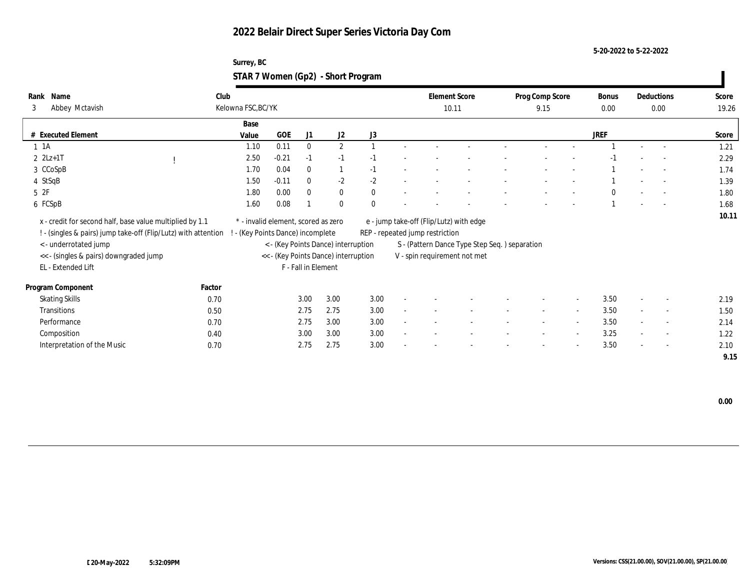**5-20-2022 to 5-22-2022**

| Surrey, BC                         |  |
|------------------------------------|--|
| STAR 7 Women (Gp2) - Short Program |  |

| Rank<br>Name<br>Abbey Mctavish<br>3                                                                                                                                                                                 | Club<br>Kelowna FSC, BC/YK |                                                                                                                                                       |                     |                |              | <b>Element Score</b><br>10.11   |                                                                                                                           | Prog Comp Score<br>9.15 |                          | Bonus<br>0.00 |                          | Deductions<br>0.00       | Score<br>19.26 |
|---------------------------------------------------------------------------------------------------------------------------------------------------------------------------------------------------------------------|----------------------------|-------------------------------------------------------------------------------------------------------------------------------------------------------|---------------------|----------------|--------------|---------------------------------|---------------------------------------------------------------------------------------------------------------------------|-------------------------|--------------------------|---------------|--------------------------|--------------------------|----------------|
|                                                                                                                                                                                                                     | Base                       |                                                                                                                                                       |                     |                |              |                                 |                                                                                                                           |                         |                          |               |                          |                          |                |
| # Executed Element                                                                                                                                                                                                  | Value                      | <b>GOE</b>                                                                                                                                            | J1                  | J <sub>2</sub> | J3           |                                 |                                                                                                                           |                         |                          | <b>JREF</b>   |                          |                          | Score          |
| $1 \t1A$                                                                                                                                                                                                            | 1.10                       | 0.11                                                                                                                                                  | $\mathbf{0}$        | $\mathbf{2}$   |              |                                 |                                                                                                                           |                         |                          |               |                          |                          | 1.21           |
| $2 \, 2Lz + 1T$                                                                                                                                                                                                     | 2.50                       | $-0.21$                                                                                                                                               | $-1$                | $-1$           | -1           |                                 |                                                                                                                           |                         |                          | $-1$          |                          |                          | 2.29           |
| 3 CCoSpB                                                                                                                                                                                                            | 1.70                       | 0.04                                                                                                                                                  | $\bf{0}$            | $\mathbf{1}$   | $-1$         |                                 |                                                                                                                           |                         |                          |               |                          |                          | 1.74           |
| 4 StSqB                                                                                                                                                                                                             | 1.50                       | $-0.11$                                                                                                                                               | $\mathbf{0}$        | $-2$           | $-2$         |                                 |                                                                                                                           |                         |                          |               |                          |                          | 1.39           |
| $5\;\;2F$                                                                                                                                                                                                           | 1.80                       | 0.00                                                                                                                                                  | $\bf{0}$            | $\bf{0}$       | $\mathbf{0}$ |                                 |                                                                                                                           |                         |                          | $\theta$      |                          |                          | 1.80           |
| 6 FCSpB                                                                                                                                                                                                             | 1.60                       | 0.08                                                                                                                                                  |                     | $\mathbf{0}$   | $\theta$     |                                 |                                                                                                                           |                         |                          |               |                          | $\overline{\phantom{a}}$ | 1.68           |
| x - credit for second half, base value multiplied by 1.1<br>! - (singles & pairs) jump take-off (Flip/Lutz) with attention<br>< - underrotated jump<br><< - (singles & pairs) downgraded jump<br>EL - Extended Lift |                            | * - invalid element, scored as zero<br>- (Key Points Dance) incomplete<br>< - (Key Points Dance) interruption<br><< - (Key Points Dance) interruption | F - Fall in Element |                |              | REP - repeated jump restriction | e - jump take-off (Flip/Lutz) with edge<br>S - (Pattern Dance Type Step Seq. ) separation<br>V - spin requirement not met |                         |                          |               |                          |                          | 10.11          |
| Program Component                                                                                                                                                                                                   | Factor                     |                                                                                                                                                       |                     |                |              |                                 |                                                                                                                           |                         |                          |               |                          |                          |                |
| <b>Skating Skills</b>                                                                                                                                                                                               | 0.70                       |                                                                                                                                                       | 3.00                | 3.00           | 3.00         |                                 |                                                                                                                           |                         | $\sim$                   | 3.50          | $\overline{\phantom{a}}$ | $\overline{\phantom{a}}$ | 2.19           |
| Transitions                                                                                                                                                                                                         | 0.50                       |                                                                                                                                                       | 2.75                | 2.75           | 3.00         |                                 |                                                                                                                           | $\sim$                  | $\sim$                   | 3.50          |                          | $\sim$                   | 1.50           |
| Performance                                                                                                                                                                                                         | 0.70                       |                                                                                                                                                       | 2.75                | 3.00           | 3.00         |                                 |                                                                                                                           | $\sim$                  | $\overline{\phantom{a}}$ | 3.50          | $\sim$                   | $\sim$                   | 2.14           |
| Composition                                                                                                                                                                                                         | 0.40                       |                                                                                                                                                       | 3.00                | 3.00           | 3.00         |                                 |                                                                                                                           |                         | $\sim$                   | 3.25          | $\sim$                   | $\sim$                   | 1.22           |
| Interpretation of the Music                                                                                                                                                                                         | 0.70                       |                                                                                                                                                       | 2.75                | 2.75           | 3.00         |                                 |                                                                                                                           |                         | $\sim$                   | 3.50          | $\sim$                   | $\sim$                   | 2.10           |
|                                                                                                                                                                                                                     |                            |                                                                                                                                                       |                     |                |              |                                 |                                                                                                                           |                         |                          |               |                          |                          | 9.15           |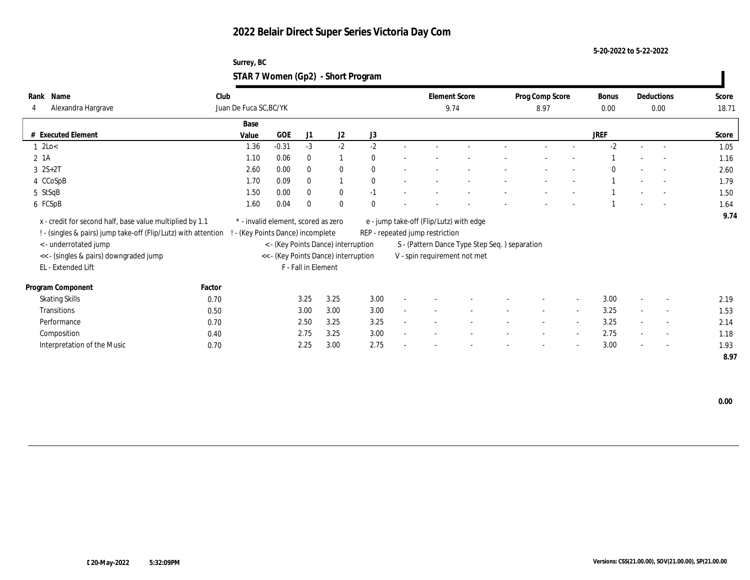**5-20-2022 to 5-22-2022**

| Surrey, BC                         |  |
|------------------------------------|--|
| STAR 7 Women (Gp2) - Short Program |  |

| Name<br>Rank<br>Alexandra Hargrave<br>4                                                                                    | Club   | Juan De Fuca SC, BC/YK                                                 |            |                     |                                      |          |        | <b>Element Score</b>            | 9.74                                           | Prog Comp Score<br>8.97 |                          | Bonus<br>0.00 |                          | Deductions<br>0.00       | Score<br>18.71 |
|----------------------------------------------------------------------------------------------------------------------------|--------|------------------------------------------------------------------------|------------|---------------------|--------------------------------------|----------|--------|---------------------------------|------------------------------------------------|-------------------------|--------------------------|---------------|--------------------------|--------------------------|----------------|
|                                                                                                                            |        | Base                                                                   |            |                     |                                      |          |        |                                 |                                                |                         |                          |               |                          |                          |                |
| # Executed Element                                                                                                         |        | Value                                                                  | <b>GOE</b> | J1                  | J2                                   | J3       |        |                                 |                                                |                         |                          | <b>JREF</b>   |                          |                          | Score          |
| $1$ 2Lo $<$                                                                                                                |        | 1.36                                                                   | $-0.31$    | $-3$                | $-2$                                 | $-2$     |        |                                 |                                                |                         |                          | $-2$          |                          |                          | 1.05           |
| 2 1A                                                                                                                       |        | 1.10                                                                   | 0.06       | $\mathbf{0}$        | $\overline{1}$                       | $\theta$ |        |                                 |                                                |                         |                          |               |                          |                          | 1.16           |
| $3 \ 2S+2T$                                                                                                                |        | 2.60                                                                   | 0.00       | $\mathbf{0}$        | $\bf{0}$                             | $\theta$ |        |                                 |                                                |                         |                          | $\Omega$      |                          | $\sim$                   | 2.60           |
| 4 CCoSpB                                                                                                                   |        | 1.70                                                                   | 0.09       | $\mathbf{0}$        |                                      | $\theta$ |        |                                 |                                                |                         |                          |               |                          | $\sim$                   | 1.79           |
| 5 StSqB                                                                                                                    |        | 1.50                                                                   | 0.00       | $\mathbf{0}$        | $\bf{0}$                             | $-1$     |        |                                 |                                                |                         |                          |               |                          |                          | 1.50           |
| 6 FCSpB                                                                                                                    |        | 1.60                                                                   | 0.04       | $\Omega$            | $\mathbf{0}$                         | $\theta$ |        |                                 |                                                |                         |                          |               |                          |                          | 1.64           |
| x - credit for second half, base value multiplied by 1.1<br>! - (singles & pairs) jump take-off (Flip/Lutz) with attention |        | * - invalid element, scored as zero<br>- (Key Points Dance) incomplete |            |                     |                                      |          |        | REP - repeated jump restriction | e - jump take-off (Flip/Lutz) with edge        |                         |                          |               |                          |                          | 9.74           |
| < - underrotated jump                                                                                                      |        |                                                                        |            |                     | < - (Key Points Dance) interruption  |          |        |                                 | S - (Pattern Dance Type Step Seq. ) separation |                         |                          |               |                          |                          |                |
| << - (singles & pairs) downgraded jump                                                                                     |        |                                                                        |            |                     | << - (Key Points Dance) interruption |          |        |                                 | V - spin requirement not met                   |                         |                          |               |                          |                          |                |
| EL - Extended Lift                                                                                                         |        |                                                                        |            | F - Fall in Element |                                      |          |        |                                 |                                                |                         |                          |               |                          |                          |                |
| Program Component                                                                                                          | Factor |                                                                        |            |                     |                                      |          |        |                                 |                                                |                         |                          |               |                          |                          |                |
| <b>Skating Skills</b>                                                                                                      | 0.70   |                                                                        |            | 3.25                | 3.25                                 | 3.00     | $\sim$ |                                 |                                                |                         | $\sim$                   | 3.00          | $\overline{\phantom{a}}$ | $\overline{\phantom{a}}$ | 2.19           |
| Transitions                                                                                                                | 0.50   |                                                                        |            | 3.00                | 3.00                                 | 3.00     |        |                                 |                                                |                         | $\sim$                   | 3.25          |                          | $\overline{\phantom{a}}$ | 1.53           |
| Performance                                                                                                                | 0.70   |                                                                        |            | 2.50                | 3.25                                 | 3.25     |        |                                 |                                                | $\sim$                  | $\sim$                   | 3.25          | $\sim$                   | $\sim$                   | 2.14           |
| Composition                                                                                                                | 0.40   |                                                                        |            | 2.75                | 3.25                                 | 3.00     |        |                                 |                                                |                         | $\sim$                   | 2.75          | $\sim$                   | $\sim$                   | 1.18           |
| Interpretation of the Music                                                                                                | 0.70   |                                                                        |            | 2.25                | 3.00                                 | 2.75     |        |                                 |                                                |                         | $\overline{\phantom{a}}$ | 3.00          | $\overline{\phantom{a}}$ | $\sim$                   | 1.93           |
|                                                                                                                            |        |                                                                        |            |                     |                                      |          |        |                                 |                                                |                         |                          |               |                          |                          | 8.97           |

 **0.00**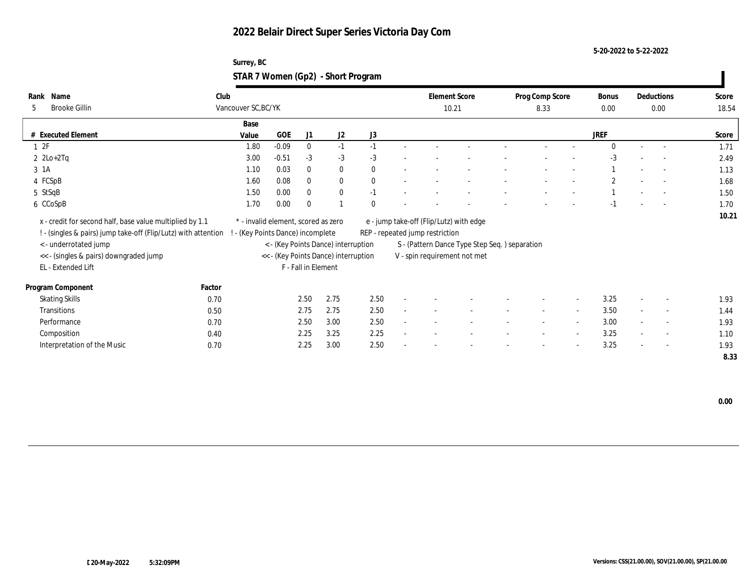**5-20-2022 to 5-22-2022**

| Surrey, BC                         |  |
|------------------------------------|--|
| STAR 7 Women (Gp2) - Short Program |  |

| Name<br>Rank<br><b>Brooke Gillin</b><br>5                                                                                                                                                     | Club   | Vancouver SC, BC/YK                                                    |            |                     |                                                                             |          |        | <b>Element Score</b><br>10.21   |                                                                                                                           | Prog Comp Score<br>8.33 |                          | Bonus<br>0.00 |                          | Deductions<br>0.00       | Score<br>18.54 |
|-----------------------------------------------------------------------------------------------------------------------------------------------------------------------------------------------|--------|------------------------------------------------------------------------|------------|---------------------|-----------------------------------------------------------------------------|----------|--------|---------------------------------|---------------------------------------------------------------------------------------------------------------------------|-------------------------|--------------------------|---------------|--------------------------|--------------------------|----------------|
|                                                                                                                                                                                               |        | Base                                                                   |            |                     |                                                                             |          |        |                                 |                                                                                                                           |                         |                          |               |                          |                          |                |
| # Executed Element                                                                                                                                                                            |        | Value                                                                  | <b>GOE</b> | J1                  | J2                                                                          | J3       |        |                                 |                                                                                                                           |                         |                          | <b>JREF</b>   |                          |                          | Score          |
| 12F                                                                                                                                                                                           |        | 1.80                                                                   | $-0.09$    | $\mathbf{0}$        | $-1$                                                                        | $-1$     |        |                                 |                                                                                                                           |                         |                          | $\Omega$      |                          |                          | 1.71           |
| $2 \text{ } 2\text{Lo}+2\text{Tq}$                                                                                                                                                            |        | 3.00                                                                   | $-0.51$    | $-3$                | $-3$                                                                        | $-3$     |        |                                 |                                                                                                                           |                         |                          | $-3$          |                          |                          | 2.49           |
| 3 1A                                                                                                                                                                                          |        | 1.10                                                                   | 0.03       | $\mathbf{0}$        | $\bf{0}$                                                                    | $\theta$ |        |                                 |                                                                                                                           |                         |                          |               |                          | $\sim$                   | 1.13           |
| 4 FCSpB                                                                                                                                                                                       |        | 1.60                                                                   | 0.08       | $\mathbf{0}$        | $\mathbf{0}$                                                                | $\theta$ |        |                                 |                                                                                                                           |                         |                          | $\mathbf{2}$  |                          | $\sim$                   | 1.68           |
| 5 StSqB                                                                                                                                                                                       |        | 1.50                                                                   | 0.00       | $\mathbf{0}$        | $\bf{0}$                                                                    | $-1$     |        |                                 |                                                                                                                           |                         |                          |               |                          |                          | 1.50           |
| 6 CCoSpB                                                                                                                                                                                      |        | 1.70                                                                   | 0.00       | $\theta$            |                                                                             | $\theta$ |        |                                 |                                                                                                                           |                         |                          | $-1$          |                          |                          | 1.70           |
| x - credit for second half, base value multiplied by 1.1<br>! - (singles & pairs) jump take-off (Flip/Lutz) with attention<br>< - underrotated jump<br><< - (singles & pairs) downgraded jump |        | * - invalid element, scored as zero<br>- (Key Points Dance) incomplete |            |                     | < - (Key Points Dance) interruption<br><< - (Key Points Dance) interruption |          |        | REP - repeated jump restriction | e - jump take-off (Flip/Lutz) with edge<br>S - (Pattern Dance Type Step Seq. ) separation<br>V - spin requirement not met |                         |                          |               |                          |                          | 10.21          |
| EL - Extended Lift                                                                                                                                                                            |        |                                                                        |            | F - Fall in Element |                                                                             |          |        |                                 |                                                                                                                           |                         |                          |               |                          |                          |                |
| Program Component                                                                                                                                                                             | Factor |                                                                        |            |                     |                                                                             |          |        |                                 |                                                                                                                           |                         |                          |               |                          |                          |                |
| <b>Skating Skills</b>                                                                                                                                                                         | 0.70   |                                                                        |            | 2.50                | 2.75                                                                        | 2.50     | $\sim$ |                                 |                                                                                                                           |                         | $\sim$                   | 3.25          | $\overline{\phantom{a}}$ | $\overline{\phantom{a}}$ | 1.93           |
| Transitions                                                                                                                                                                                   | 0.50   |                                                                        |            | 2.75                | 2.75                                                                        | 2.50     |        |                                 |                                                                                                                           |                         | $\sim$                   | 3.50          |                          | $\overline{\phantom{a}}$ | 1.44           |
| Performance                                                                                                                                                                                   | 0.70   |                                                                        |            | 2.50                | 3.00                                                                        | 2.50     |        |                                 |                                                                                                                           | $\sim$                  | $\sim$                   | 3.00          | $\sim$                   | $\sim$                   | 1.93           |
| Composition                                                                                                                                                                                   | 0.40   |                                                                        |            | 2.25                | 3.25                                                                        | 2.25     |        |                                 |                                                                                                                           |                         | $\sim$                   | 3.25          | $\sim$                   | $\sim$                   | 1.10           |
| Interpretation of the Music                                                                                                                                                                   | 0.70   |                                                                        |            | 2.25                | 3.00                                                                        | 2.50     |        |                                 |                                                                                                                           |                         | $\overline{\phantom{a}}$ | 3.25          | $\overline{\phantom{a}}$ | $\sim$                   | 1.93           |
|                                                                                                                                                                                               |        |                                                                        |            |                     |                                                                             |          |        |                                 |                                                                                                                           |                         |                          |               |                          |                          | 8.33           |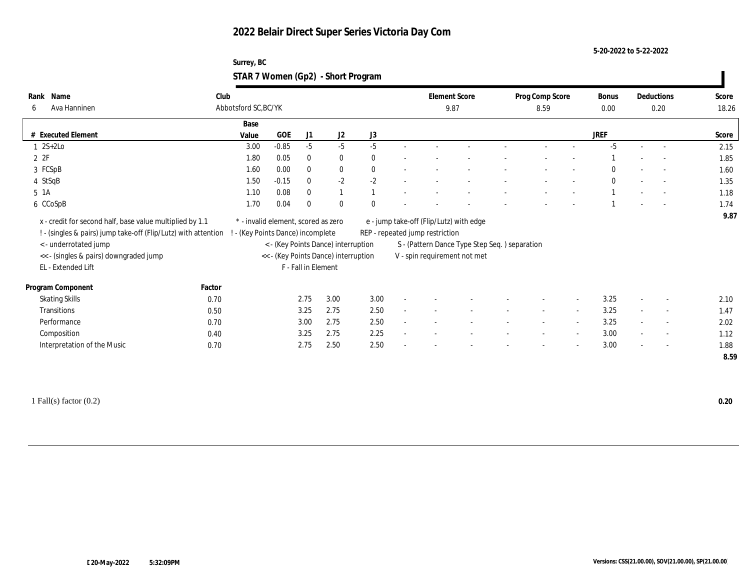**5-20-2022 to 5-22-2022**

| Surrey, BC                         |  |
|------------------------------------|--|
| STAR 7 Women (Gp2) - Short Program |  |

| Name<br>Rank                                                                                                                                                                                                       | Club                 |                                                                        |                     |                                                                             |              |        | <b>Element Score</b>            |                                                                                                                          | Prog Comp Score |                          | Bonus        |                          | Deductions               | Score        |
|--------------------------------------------------------------------------------------------------------------------------------------------------------------------------------------------------------------------|----------------------|------------------------------------------------------------------------|---------------------|-----------------------------------------------------------------------------|--------------|--------|---------------------------------|--------------------------------------------------------------------------------------------------------------------------|-----------------|--------------------------|--------------|--------------------------|--------------------------|--------------|
| Ava Hanninen<br>6                                                                                                                                                                                                  | Abbotsford SC, BC/YK |                                                                        |                     |                                                                             |              |        | 9.87                            |                                                                                                                          | 8.59            |                          | 0.00         |                          | 0.20                     | 18.26        |
|                                                                                                                                                                                                                    | Base                 |                                                                        |                     |                                                                             |              |        |                                 |                                                                                                                          |                 |                          |              |                          |                          |              |
| # Executed Element                                                                                                                                                                                                 | Value                | GOE                                                                    | J1                  | J2                                                                          | J3           |        |                                 |                                                                                                                          |                 |                          | JREF         |                          |                          | Score        |
| $1 \quad 2S+2Lo$                                                                                                                                                                                                   |                      | $-0.85$<br>3.00                                                        | $-5$                | $-5$                                                                        | $-5$         |        |                                 |                                                                                                                          |                 |                          | $-5$         |                          |                          | 2.15         |
| 2ZF                                                                                                                                                                                                                |                      | 1.80<br>0.05                                                           | $\bf{0}$            | $\bf{0}$                                                                    | $\mathbf{0}$ |        |                                 |                                                                                                                          |                 |                          |              |                          |                          | 1.85         |
| 3 FCSpB                                                                                                                                                                                                            |                      | 0.00<br>1.60                                                           | $\bf{0}$            | $\bf{0}$                                                                    | $\mathbf{0}$ |        |                                 |                                                                                                                          |                 |                          | $\mathbf{0}$ |                          |                          | 1.60         |
| 4 StSqB                                                                                                                                                                                                            |                      | $-0.15$<br>1.50                                                        | $\mathbf{0}$        | $-2$                                                                        | $-2$         |        |                                 |                                                                                                                          |                 |                          | $\mathbf{0}$ |                          |                          | 1.35         |
| 5 1A                                                                                                                                                                                                               |                      | 0.08<br>1.10                                                           | $\mathbf{0}$        | $\mathbf{1}$                                                                |              |        |                                 |                                                                                                                          |                 |                          |              |                          |                          | 1.18         |
| 6 CCoSpB                                                                                                                                                                                                           |                      | 1.70<br>0.04                                                           | $\Omega$            | $\bf{0}$                                                                    | $\theta$     |        |                                 |                                                                                                                          |                 |                          |              |                          |                          | 1.74         |
| x - credit for second half, base value multiplied by 1.1<br>! - (singles & pairs) jump take-off (Flip/Lutz) with attention<br><- underrotated jump<br><< - (singles & pairs) downgraded jump<br>EL - Extended Lift |                      | * - invalid element, scored as zero<br>- (Key Points Dance) incomplete | F - Fall in Element | < - (Key Points Dance) interruption<br><< - (Key Points Dance) interruption |              |        | REP - repeated jump restriction | e - jump take-off (Flip/Lutz) with edge<br>S - (Pattern Dance Type Step Seq.) separation<br>V - spin requirement not met |                 |                          |              |                          |                          |              |
| Program Component                                                                                                                                                                                                  | Factor               |                                                                        |                     |                                                                             |              |        |                                 |                                                                                                                          |                 |                          |              |                          |                          |              |
| <b>Skating Skills</b>                                                                                                                                                                                              | 0.70                 |                                                                        | 2.75                | 3.00                                                                        | 3.00         |        |                                 |                                                                                                                          |                 | $\overline{\phantom{a}}$ | 3.25         | $\overline{a}$           | $\overline{\phantom{a}}$ | 2.10         |
| Transitions                                                                                                                                                                                                        | 0.50                 |                                                                        | 3.25                | 2.75                                                                        | 2.50         |        |                                 |                                                                                                                          |                 |                          | 3.25         |                          | $\overline{\phantom{a}}$ | 1.47         |
| Performance                                                                                                                                                                                                        | 0.70                 |                                                                        | 3.00                | 2.75                                                                        | 2.50         | $\sim$ |                                 |                                                                                                                          | $\sim$          | $\sim$                   | 3.25         | $\sim$                   | $\overline{\phantom{a}}$ | 2.02         |
| Composition                                                                                                                                                                                                        | 0.40                 |                                                                        | 3.25                | 2.75                                                                        | 2.25         |        |                                 |                                                                                                                          |                 | $\overline{\phantom{a}}$ | 3.00         |                          | $\overline{\phantom{a}}$ | 1.12         |
| Interpretation of the Music                                                                                                                                                                                        | 0.70                 |                                                                        | 2.75                | 2.50                                                                        | 2.50         |        |                                 |                                                                                                                          |                 | $\sim$                   | 3.00         | $\overline{\phantom{a}}$ | $\overline{\phantom{a}}$ | 1.88<br>8.59 |

1 Fall(s) factor (0.2) **0.20**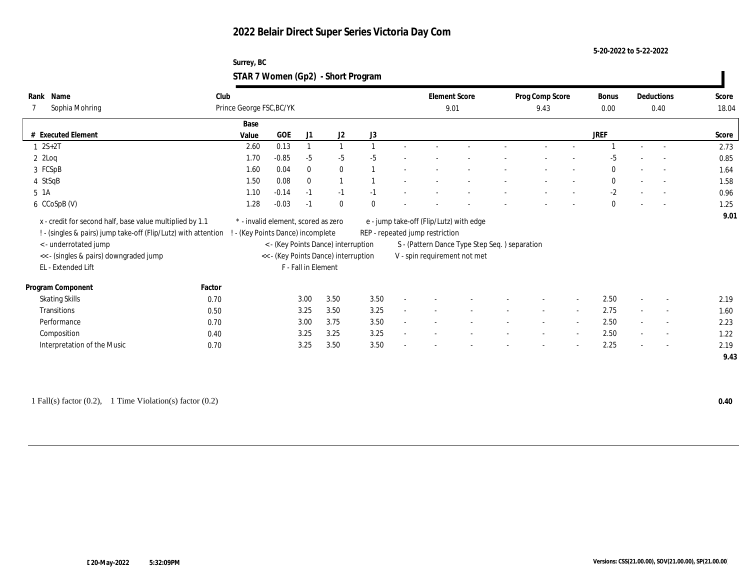**5-20-2022 to 5-22-2022**

| Surrey, BC                         |  |
|------------------------------------|--|
| STAR 7 Women (Gp2) - Short Program |  |

| Name<br>Rank                                                                                                                                                                                                        | Club                     |                                                                                                                                                                                |              |              |          |                                                                                                                                                             | <b>Element Score</b> |  | Prog Comp Score |                          | Bonus        |        | Deductions               | Score |
|---------------------------------------------------------------------------------------------------------------------------------------------------------------------------------------------------------------------|--------------------------|--------------------------------------------------------------------------------------------------------------------------------------------------------------------------------|--------------|--------------|----------|-------------------------------------------------------------------------------------------------------------------------------------------------------------|----------------------|--|-----------------|--------------------------|--------------|--------|--------------------------|-------|
| Sophia Mohring                                                                                                                                                                                                      | Prince George FSC, BC/YK |                                                                                                                                                                                |              |              |          |                                                                                                                                                             | 9.01                 |  | 9.43            |                          | 0.00         |        | 0.40                     | 18.04 |
|                                                                                                                                                                                                                     |                          |                                                                                                                                                                                |              |              |          |                                                                                                                                                             |                      |  |                 |                          |              |        |                          |       |
|                                                                                                                                                                                                                     | Base                     |                                                                                                                                                                                |              |              |          |                                                                                                                                                             |                      |  |                 |                          |              |        |                          |       |
| <b>Executed Element</b>                                                                                                                                                                                             | Value                    | GOE                                                                                                                                                                            | J1           | J2           | J3       |                                                                                                                                                             |                      |  |                 |                          | <b>JREF</b>  |        |                          | Score |
| $1 \ 2S + 2T$                                                                                                                                                                                                       | 2.60                     | 0.13                                                                                                                                                                           |              | $\mathbf{1}$ |          |                                                                                                                                                             |                      |  |                 |                          |              |        |                          | 2.73  |
| $2$ $2$ Loq                                                                                                                                                                                                         | 1.70                     | $-0.85$                                                                                                                                                                        | $-5$         | $-5$         | $-5$     |                                                                                                                                                             |                      |  |                 |                          | -5           |        |                          | 0.85  |
| 3 FCSpB                                                                                                                                                                                                             | 1.60                     | 0.04                                                                                                                                                                           | $\bf{0}$     | $\bf{0}$     |          |                                                                                                                                                             |                      |  |                 |                          | $\mathbf{0}$ |        | $\overline{a}$           | 1.64  |
| 4 StSqB                                                                                                                                                                                                             | 1.50                     | 0.08                                                                                                                                                                           | $\mathbf{0}$ | 1            |          |                                                                                                                                                             |                      |  |                 |                          | $\bf{0}$     |        |                          | 1.58  |
| 5 1A                                                                                                                                                                                                                | 1.10                     | $-0.14$                                                                                                                                                                        | $-1$         | $-1$         | $-1$     |                                                                                                                                                             |                      |  |                 |                          | $-2$         |        | $\overline{\phantom{0}}$ | 0.96  |
| 6 CCoSpB (V)                                                                                                                                                                                                        | 1.28                     | $-0.03$                                                                                                                                                                        | $-1$         | $\mathbf{0}$ | $\theta$ |                                                                                                                                                             |                      |  |                 |                          | $\mathbf{0}$ |        |                          | 1.25  |
| x - credit for second half, base value multiplied by 1.1<br>! - (singles & pairs) jump take-off (Flip/Lutz) with attention<br>< - underrotated jump<br><< - (singles & pairs) downgraded jump<br>EL - Extended Lift |                          | * - invalid element, scored as zero<br>! - (Key Points Dance) incomplete<br>< - (Key Points Dance) interruption<br><< - (Key Points Dance) interruption<br>F - Fall in Element |              |              |          | e - jump take-off (Flip/Lutz) with edge<br>REP - repeated jump restriction<br>S - (Pattern Dance Type Step Seq.) separation<br>V - spin requirement not met |                      |  |                 |                          |              |        | 9.01                     |       |
| Program Component                                                                                                                                                                                                   | Factor                   |                                                                                                                                                                                |              |              |          |                                                                                                                                                             |                      |  |                 |                          |              |        |                          |       |
| <b>Skating Skills</b>                                                                                                                                                                                               | 0.70                     |                                                                                                                                                                                | 3.00         | 3.50         | 3.50     |                                                                                                                                                             |                      |  |                 | $\overline{\phantom{a}}$ | 2.50         |        | $\sim$                   | 2.19  |
| Transitions                                                                                                                                                                                                         | 0.50                     |                                                                                                                                                                                | 3.25         | 3.50         | 3.25     |                                                                                                                                                             |                      |  |                 | $\sim$                   | 2.75         | $\sim$ | $\overline{\phantom{a}}$ | 1.60  |
| Performance                                                                                                                                                                                                         | 0.70                     |                                                                                                                                                                                | 3.00         | 3.75         | 3.50     |                                                                                                                                                             |                      |  |                 | $\sim$                   | 2.50         |        | $\overline{\phantom{a}}$ | 2.23  |
| Composition                                                                                                                                                                                                         | 0.40                     |                                                                                                                                                                                | 3.25         | 3.25         | 3.25     |                                                                                                                                                             |                      |  |                 | $\overline{\phantom{a}}$ | 2.50         |        | $\overline{a}$           | 1.22  |
| Interpretation of the Music                                                                                                                                                                                         | 0.70                     |                                                                                                                                                                                | 3.25         | 3.50         | 3.50     |                                                                                                                                                             |                      |  |                 | $\overline{\phantom{a}}$ | 2.25         |        | $\sim$                   | 2.19  |
|                                                                                                                                                                                                                     |                          |                                                                                                                                                                                |              |              |          |                                                                                                                                                             |                      |  |                 |                          |              |        |                          | 9.43  |

1 Fall(s) factor (0.2), 1 Time Violation(s) factor (0.2) **0.40**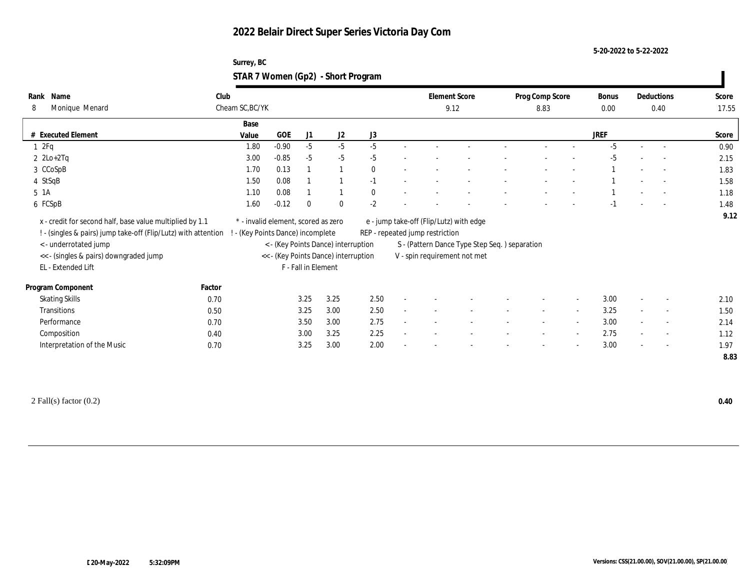**5-20-2022 to 5-22-2022**

| Surrey, BC                         |  |
|------------------------------------|--|
| STAR 7 Women (Gp2) - Short Program |  |

| Name<br>Rank<br>Monique Menard<br>8                            | Club   | Cheam SC, BC/YK                     |            |                     |                                      |              | <b>Element Score</b><br>9.12    |                                               | Prog Comp Score<br>8.83 | Bonus<br>0.00 | Deductions               | 0.40           | Score<br>17.55 |
|----------------------------------------------------------------|--------|-------------------------------------|------------|---------------------|--------------------------------------|--------------|---------------------------------|-----------------------------------------------|-------------------------|---------------|--------------------------|----------------|----------------|
|                                                                |        |                                     |            |                     |                                      |              |                                 |                                               |                         |               |                          |                |                |
| # Executed Element                                             |        | Base<br>Value                       | <b>GOE</b> | J1                  | J2                                   | J3           |                                 |                                               |                         | <b>JREF</b>   |                          |                | Score          |
| 2Fq                                                            |        | 1.80                                | $-0.90$    | $-5$                | $-5$                                 | $-5$         |                                 |                                               |                         | $-5$          |                          |                | 0.90           |
| $2 \text{ } 2\text{Lo}+2\text{Tag}$                            |        | 3.00                                | $-0.85$    | $-5$                | $-5$                                 | $-5$         |                                 |                                               |                         | $-5$          |                          |                | 2.15           |
| 3 CCoSpB                                                       |        | 1.70                                | 0.13       |                     |                                      | $\mathbf{0}$ |                                 |                                               |                         |               |                          |                | 1.83           |
|                                                                |        |                                     |            |                     |                                      |              |                                 |                                               |                         |               |                          |                |                |
| 4 StSqB                                                        |        | 1.50                                | 0.08       |                     |                                      | $-1$         |                                 |                                               |                         |               |                          |                | 1.58           |
| 5 1A                                                           |        | 1.10                                | 0.08       |                     |                                      | $\bf{0}$     |                                 |                                               |                         |               |                          |                | 1.18           |
| 6 FCSpB                                                        |        | 1.60                                | $-0.12$    | $\bf{0}$            | $\bf{0}$                             | $-2$         |                                 |                                               |                         | $-1$          |                          |                | 1.48           |
|                                                                |        |                                     |            |                     |                                      |              |                                 |                                               |                         |               |                          |                | 9.12           |
| x - credit for second half, base value multiplied by 1.1       |        | * - invalid element, scored as zero |            |                     |                                      |              |                                 | e - jump take-off (Flip/Lutz) with edge       |                         |               |                          |                |                |
| ! - (singles & pairs) jump take-off (Flip/Lutz) with attention |        | ! - (Key Points Dance) incomplete   |            |                     |                                      |              | REP - repeated jump restriction |                                               |                         |               |                          |                |                |
| < - underrotated jump                                          |        |                                     |            |                     | < - (Key Points Dance) interruption  |              |                                 | S - (Pattern Dance Type Step Seq.) separation |                         |               |                          |                |                |
| << - (singles & pairs) downgraded jump                         |        |                                     |            |                     | << - (Key Points Dance) interruption |              |                                 | V - spin requirement not met                  |                         |               |                          |                |                |
| EL - Extended Lift                                             |        |                                     |            | F - Fall in Element |                                      |              |                                 |                                               |                         |               |                          |                |                |
| Program Component                                              | Factor |                                     |            |                     |                                      |              |                                 |                                               |                         |               |                          |                |                |
| <b>Skating Skills</b>                                          | 0.70   |                                     |            | 3.25                | 3.25                                 | 2.50         |                                 |                                               |                         | 3.00          | $\sim$                   | $\sim$         | 2.10           |
| Transitions                                                    | 0.50   |                                     |            | 3.25                | 3.00                                 | 2.50         |                                 |                                               |                         | 3.25          | $\overline{\phantom{a}}$ | $\sim$         | 1.50           |
| Performance                                                    | 0.70   |                                     |            | 3.50                | 3.00                                 | 2.75         |                                 |                                               |                         | 3.00          | $\overline{\phantom{a}}$ | $\overline{a}$ | 2.14           |
|                                                                | 0.40   |                                     |            | 3.00                | 3.25                                 | 2.25         |                                 |                                               |                         | 2.75          |                          | $\sim$         | 1.12           |
| Composition<br>Interpretation of the Music                     | 0.70   |                                     |            | 3.25                | 3.00                                 | 2.00         |                                 |                                               |                         | 3.00          | $\overline{\phantom{a}}$ | $\sim$         | 1.97           |

2 Fall(s) factor (0.2) **0.40**

 $\mathbf{I}$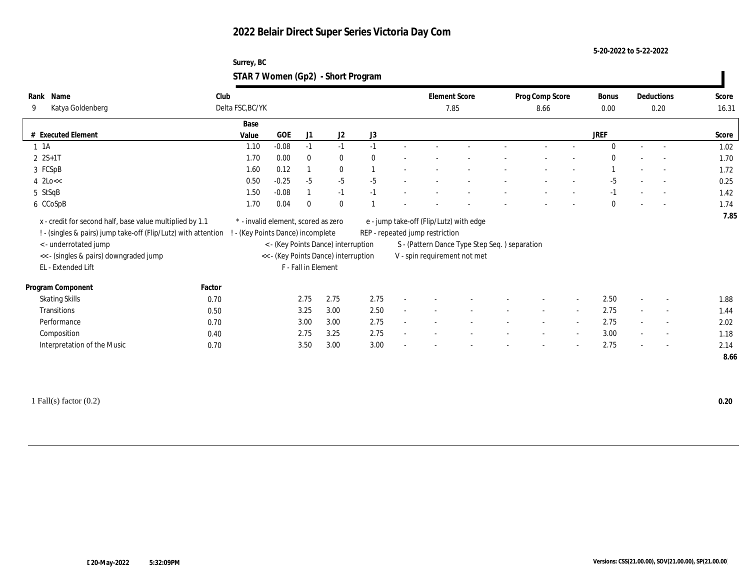**5-20-2022 to 5-22-2022**

| Surrey, BC                         |  |
|------------------------------------|--|
| STAR 7 Women (Gp2) - Short Program |  |

| Name<br>Rank<br>Katya Goldenberg<br>9                                                                                                                                                                               | Club   | Delta FSC, BC/YK                                                       |         |                     |                                                                             |          | <b>Element Score</b><br>7.85    |                                                                                                                          | Prog Comp Score<br>8.66  |                          | <b>Bonus</b><br>0.00 |        | Deductions<br>0.20       | Score<br>16.31 |
|---------------------------------------------------------------------------------------------------------------------------------------------------------------------------------------------------------------------|--------|------------------------------------------------------------------------|---------|---------------------|-----------------------------------------------------------------------------|----------|---------------------------------|--------------------------------------------------------------------------------------------------------------------------|--------------------------|--------------------------|----------------------|--------|--------------------------|----------------|
|                                                                                                                                                                                                                     |        |                                                                        |         |                     |                                                                             |          |                                 |                                                                                                                          |                          |                          |                      |        |                          |                |
|                                                                                                                                                                                                                     |        | Base                                                                   |         |                     |                                                                             |          |                                 |                                                                                                                          |                          |                          |                      |        |                          |                |
| # Executed Element                                                                                                                                                                                                  |        | Value                                                                  | GOE     | J1                  | J2                                                                          | J3       |                                 |                                                                                                                          |                          |                          | JREF                 |        |                          | Score          |
| $1 \t1A$                                                                                                                                                                                                            |        | 1.10                                                                   | $-0.08$ | $-1$                | $-1$                                                                        | $-1$     |                                 |                                                                                                                          |                          |                          | $\mathbf{0}$         | $\sim$ | $\sim$                   | 1.02           |
| $2 S+1 T$                                                                                                                                                                                                           |        | 1.70                                                                   | 0.00    | $\mathbf{0}$        | $\bf{0}$                                                                    | $\theta$ |                                 |                                                                                                                          |                          |                          | $\Omega$             |        |                          | 1.70           |
| 3 FCSpB                                                                                                                                                                                                             |        | 1.60                                                                   | 0.12    |                     | $\bf{0}$                                                                    |          |                                 |                                                                                                                          |                          |                          |                      |        |                          | 1.72           |
| $4 \text{ 2Lo}<<$                                                                                                                                                                                                   |        | 0.50                                                                   | $-0.25$ | $-5$                | $-5$                                                                        | $-5$     |                                 |                                                                                                                          |                          |                          | $-5$                 |        |                          | 0.25           |
| 5 StSqB                                                                                                                                                                                                             |        | 1.50                                                                   | $-0.08$ |                     | $-1$                                                                        | $-1$     |                                 |                                                                                                                          |                          |                          | $-1$                 |        |                          | 1.42           |
| 6 CCoSpB                                                                                                                                                                                                            |        | 1.70                                                                   | 0.04    | $\bf{0}$            | $\mathbf{0}$                                                                |          |                                 |                                                                                                                          |                          |                          | $\mathbf{0}$         |        |                          | 1.74           |
| x - credit for second half, base value multiplied by 1.1<br>! - (singles & pairs) jump take-off (Flip/Lutz) with attention<br>< - underrotated jump<br><< - (singles & pairs) downgraded jump<br>EL - Extended Lift |        | * - invalid element, scored as zero<br>- (Key Points Dance) incomplete |         | F - Fall in Element | < - (Key Points Dance) interruption<br><< - (Key Points Dance) interruption |          | REP - repeated jump restriction | e - jump take-off (Flip/Lutz) with edge<br>S - (Pattern Dance Type Step Seq.) separation<br>V - spin requirement not met |                          |                          |                      |        |                          |                |
| Program Component                                                                                                                                                                                                   | Factor |                                                                        |         |                     |                                                                             |          |                                 |                                                                                                                          |                          |                          |                      |        |                          |                |
| <b>Skating Skills</b>                                                                                                                                                                                               | 0.70   |                                                                        |         | 2.75                | 2.75                                                                        | 2.75     |                                 |                                                                                                                          |                          | $\sim$                   | 2.50                 | $\sim$ | $\overline{\phantom{a}}$ | 1.88           |
| Transitions                                                                                                                                                                                                         | 0.50   |                                                                        |         | 3.25                | 3.00                                                                        | 2.50     |                                 |                                                                                                                          | $\sim$                   | $\overline{\phantom{a}}$ | 2.75                 |        | $\sim$                   | 1.44           |
| Performance                                                                                                                                                                                                         | 0.70   |                                                                        |         | 3.00                | 3.00                                                                        | 2.75     |                                 |                                                                                                                          | $\sim$                   | $\sim$                   | 2.75                 | $\sim$ | $\sim$                   | 2.02           |
| Composition                                                                                                                                                                                                         | 0.40   |                                                                        |         | 2.75                | 3.25                                                                        | 2.75     |                                 |                                                                                                                          | $\sim$                   | $\overline{\phantom{a}}$ | 3.00                 |        | $\sim$                   | 1.18           |
| Interpretation of the Music                                                                                                                                                                                         | 0.70   |                                                                        |         | 3.50                | 3.00                                                                        | 3.00     |                                 |                                                                                                                          | $\overline{\phantom{a}}$ | $\overline{a}$           | 2.75                 | $\sim$ | $\sim$                   | 2.14<br>8.66   |

1 Fall(s) factor (0.2) **0.20**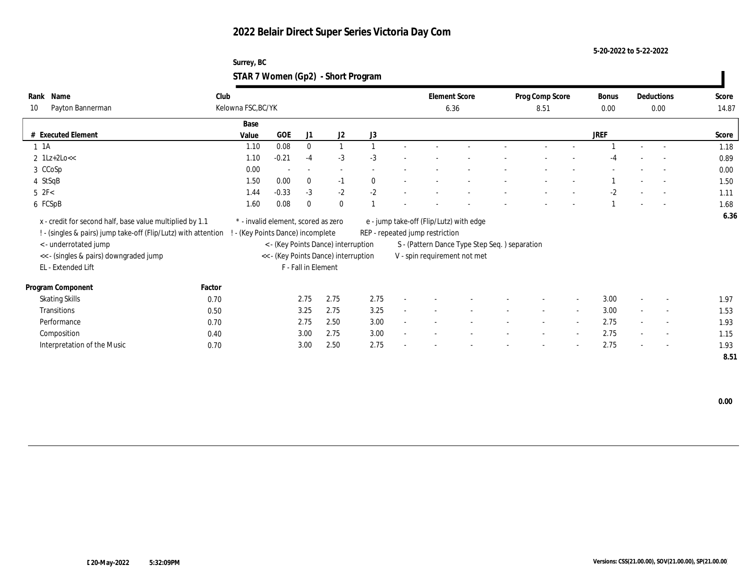**5-20-2022 to 5-22-2022**

| Surrey, BC                         |  |
|------------------------------------|--|
| STAR 7 Women (Gp2) - Short Program |  |

| Name<br>Rank<br>Payton Bannerman<br>10                                                                                     | Club<br>Kelowna FSC, BC/YK                                               |            |                          |                                      |          | <b>Element Score</b>            | 6.36                                          | Prog Comp Score<br>8.51 |        | <b>Bonus</b><br>0.00 |                          | Deductions<br>0.00 | Score<br>14.87 |
|----------------------------------------------------------------------------------------------------------------------------|--------------------------------------------------------------------------|------------|--------------------------|--------------------------------------|----------|---------------------------------|-----------------------------------------------|-------------------------|--------|----------------------|--------------------------|--------------------|----------------|
|                                                                                                                            |                                                                          |            |                          |                                      |          |                                 |                                               |                         |        |                      |                          |                    |                |
|                                                                                                                            | Base                                                                     |            |                          |                                      |          |                                 |                                               |                         |        |                      |                          |                    |                |
| # Executed Element                                                                                                         | Value                                                                    | <b>GOE</b> | J1                       | J2                                   | J3       |                                 |                                               |                         |        | <b>JREF</b>          |                          |                    | Score          |
| $1 \t1A$                                                                                                                   | 1.10                                                                     | 0.08       | $\mathbf{0}$             |                                      |          |                                 |                                               |                         |        |                      |                          |                    | 1.18           |
| $2 \text{ } 1\text{Lz} + 2\text{Lo} <<$                                                                                    | 1.10                                                                     | $-0.21$    | $-4$                     | $-3$                                 | $-3$     |                                 |                                               |                         |        | -4                   |                          |                    | 0.89           |
| 3 CCoSp                                                                                                                    | 0.00                                                                     |            | $\overline{\phantom{a}}$ |                                      |          |                                 |                                               |                         |        |                      |                          |                    | 0.00           |
| 4 StSqB                                                                                                                    | 1.50                                                                     | 0.00       | $\mathbf{0}$             | $-1$                                 | $\bf{0}$ |                                 |                                               |                         |        |                      |                          |                    | 1.50           |
| $5$ $2F<$                                                                                                                  | 1.44                                                                     | $-0.33$    | $-3$                     | $-2$                                 | $-2$     |                                 |                                               |                         |        | $-2$                 |                          |                    | 1.11           |
| 6 FCSpB                                                                                                                    | 1.60                                                                     | 0.08       | $\Omega$                 | $\mathbf{0}$                         |          |                                 |                                               |                         |        |                      |                          |                    | 1.68           |
| x - credit for second half, base value multiplied by 1.1<br>! - (singles & pairs) jump take-off (Flip/Lutz) with attention | * - invalid element, scored as zero<br>! - (Key Points Dance) incomplete |            |                          |                                      |          | REP - repeated jump restriction | e - jump take-off (Flip/Lutz) with edge       |                         |        |                      |                          |                    | 6.36           |
| < - underrotated jump                                                                                                      |                                                                          |            |                          | < - (Key Points Dance) interruption  |          |                                 | S - (Pattern Dance Type Step Seq.) separation |                         |        |                      |                          |                    |                |
| << - (singles & pairs) downgraded jump                                                                                     |                                                                          |            |                          | << - (Key Points Dance) interruption |          |                                 | V - spin requirement not met                  |                         |        |                      |                          |                    |                |
| EL - Extended Lift                                                                                                         |                                                                          |            | F - Fall in Element      |                                      |          |                                 |                                               |                         |        |                      |                          |                    |                |
| Factor<br>Program Component                                                                                                |                                                                          |            |                          |                                      |          |                                 |                                               |                         |        |                      |                          |                    |                |
| <b>Skating Skills</b><br>0.70                                                                                              |                                                                          |            | 2.75                     | 2.75                                 | 2.75     |                                 |                                               |                         | $\sim$ | 3.00                 | $\sim$                   | $\sim$             | 1.97           |
| Transitions<br>0.50                                                                                                        |                                                                          |            | 3.25                     | 2.75                                 | 3.25     |                                 |                                               |                         |        | 3.00                 |                          | $\sim$             | 1.53           |
| Performance<br>0.70                                                                                                        |                                                                          |            | 2.75                     | 2.50                                 | 3.00     |                                 |                                               | $\sim$                  | $\sim$ | 2.75                 | $\sim$                   | $\sim$             | 1.93           |
| Composition<br>0.40                                                                                                        |                                                                          |            | 3.00                     | 2.75                                 | 3.00     |                                 |                                               |                         |        | 2.75                 | $\sim$                   | $\sim$             | 1.15           |
| Interpretation of the Music<br>0.70                                                                                        |                                                                          |            | 3.00                     | 2.50                                 | 2.75     |                                 |                                               |                         |        | 2.75                 | $\overline{\phantom{a}}$ | $\sim$             | 1.93           |
|                                                                                                                            |                                                                          |            |                          |                                      |          |                                 |                                               |                         |        |                      |                          |                    | 8.51           |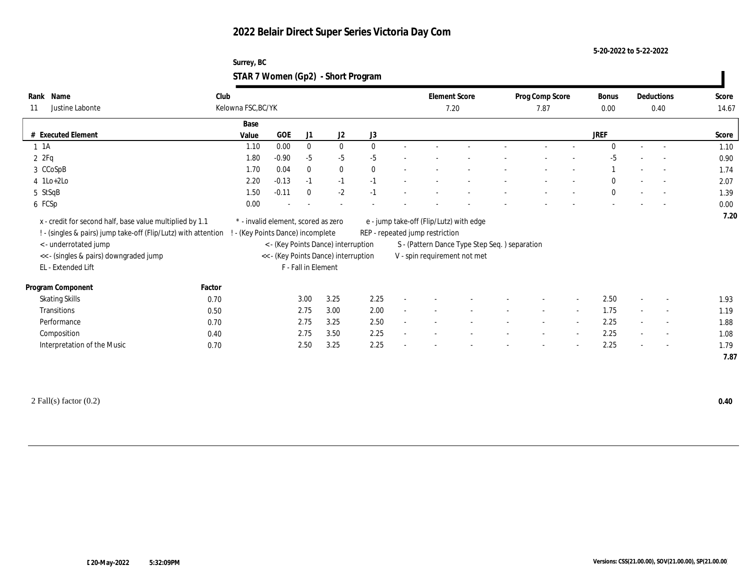**5-20-2022 to 5-22-2022**

| Surrey, BC                         |  |
|------------------------------------|--|
| STAR 7 Women (Gp2) - Short Program |  |

| Name<br>Rank<br>Justine Labonte<br>11                                                                                             | Club<br>Kelowna FSC, BC/YK |                                                                        |                     |                |              | Element Score<br>7.20           |                                               | Prog Comp Score<br>7.87 |        | <b>Bonus</b><br>0.00 |        | Deductions<br>0.40       | Score<br>14.67 |
|-----------------------------------------------------------------------------------------------------------------------------------|----------------------------|------------------------------------------------------------------------|---------------------|----------------|--------------|---------------------------------|-----------------------------------------------|-------------------------|--------|----------------------|--------|--------------------------|----------------|
|                                                                                                                                   | Base                       |                                                                        |                     |                |              |                                 |                                               |                         |        |                      |        |                          |                |
| # Executed Element                                                                                                                | Value                      | GOE                                                                    | J1                  | J <sub>2</sub> | J3           |                                 |                                               |                         |        | <b>JREF</b>          |        |                          | Score          |
| $1 \t1A$                                                                                                                          | 1.10                       | 0.00                                                                   | $\bf{0}$            | $\bf{0}$       | $\mathbf{0}$ |                                 |                                               |                         |        | $\Omega$             | $\sim$ |                          | 1.10           |
| 2ZFq                                                                                                                              | 1.80                       | $-0.90$                                                                | $-5$                | $-5$           | $-5$         |                                 |                                               |                         |        | $-5$                 |        |                          | 0.90           |
| 3 CCoSpB                                                                                                                          | 1.70                       | 0.04                                                                   | $\bf{0}$            | $\bf{0}$       | $\mathbf{0}$ |                                 |                                               |                         |        |                      |        |                          | 1.74           |
| $4$ 1Lo+2Lo                                                                                                                       | 2.20                       | $-0.13$                                                                | $-1$                | $-1$           | $-1$         |                                 |                                               |                         |        | $\bf{0}$             |        |                          | 2.07           |
| 5 StSqB                                                                                                                           | 1.50                       | $-0.11$                                                                | $\bf{0}$            | $-2$           | $-1$         |                                 |                                               |                         |        | $\bf{0}$             |        |                          | 1.39           |
| 6 FCSp                                                                                                                            | 0.00                       |                                                                        |                     |                |              |                                 |                                               |                         |        |                      |        |                          | 0.00           |
| ! - (singles & pairs) jump take-off (Flip/Lutz) with attention<br>< - underrotated jump<br><< - (singles & pairs) downgraded jump |                            | - (Key Points Dance) incomplete<br>< - (Key Points Dance) interruption |                     |                |              | REP - repeated jump restriction | S - (Pattern Dance Type Step Seq.) separation |                         |        |                      |        |                          |                |
| EL - Extended Lift                                                                                                                |                            | << - (Key Points Dance) interruption                                   | F - Fall in Element |                |              |                                 | V - spin requirement not met                  |                         |        |                      |        |                          |                |
| Program Component                                                                                                                 | Factor                     |                                                                        |                     |                |              |                                 |                                               |                         |        |                      |        |                          |                |
| <b>Skating Skills</b>                                                                                                             | 0.70                       |                                                                        | 3.00                | 3.25           | 2.25         |                                 |                                               |                         |        | 2.50                 |        | $\overline{\phantom{a}}$ | 1.93           |
| Transitions                                                                                                                       | 0.50                       |                                                                        | 2.75                | 3.00           | 2.00         |                                 |                                               |                         |        | 1.75                 |        | $\overline{\phantom{a}}$ | 1.19           |
| Performance                                                                                                                       | 0.70                       |                                                                        | 2.75                | 3.25           | 2.50         |                                 |                                               |                         |        | 2.25                 |        | $\overline{\phantom{a}}$ | 1.88           |
| Composition                                                                                                                       | 0.40                       |                                                                        | 2.75                | 3.50           | 2.25         |                                 |                                               |                         | $\sim$ | 2.25                 |        | $\overline{\phantom{a}}$ | 1.08           |

2 Fall(s) factor (0.2) **0.40**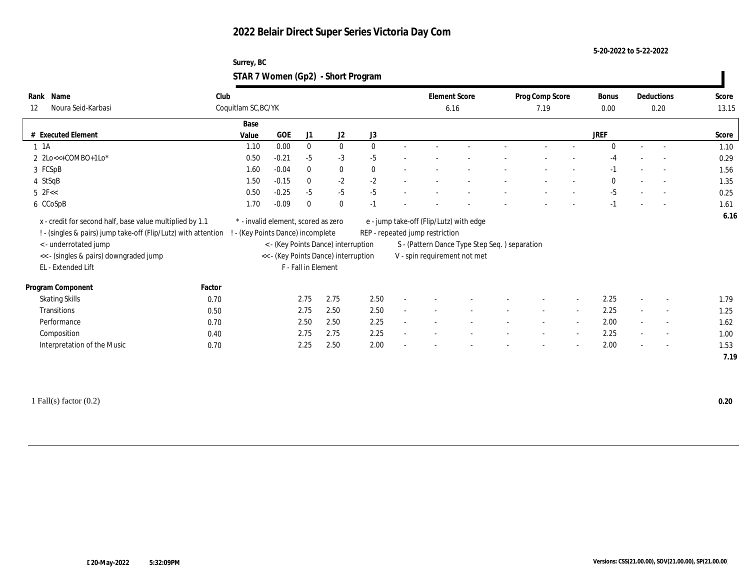**5-20-2022 to 5-22-2022**

| Surrey, BC                         |  |
|------------------------------------|--|
| STAR 7 Women (Gp2) - Short Program |  |

| Name<br>Rank<br>Noura Seid-Karbasi<br>12                                                                                                                                                                                                                                                                                                                                                                   | Club   | Coquitlam SC, BC/YK                                                    |                                                                                                    |              |          |              |        | <b>Element Score</b><br>6.16    |                                                                                                                          | Prog Comp Score<br>7.19 |                          | Bonus<br>0.00 |                          | Deductions<br>0.20       | Score<br>13.15 |
|------------------------------------------------------------------------------------------------------------------------------------------------------------------------------------------------------------------------------------------------------------------------------------------------------------------------------------------------------------------------------------------------------------|--------|------------------------------------------------------------------------|----------------------------------------------------------------------------------------------------|--------------|----------|--------------|--------|---------------------------------|--------------------------------------------------------------------------------------------------------------------------|-------------------------|--------------------------|---------------|--------------------------|--------------------------|----------------|
|                                                                                                                                                                                                                                                                                                                                                                                                            |        | Base                                                                   |                                                                                                    |              |          |              |        |                                 |                                                                                                                          |                         |                          |               |                          |                          |                |
| # Executed Element                                                                                                                                                                                                                                                                                                                                                                                         |        | Value                                                                  | GOE                                                                                                | J1           | J2       | J3           |        |                                 |                                                                                                                          |                         |                          | JREF          |                          |                          | Score          |
| $1 \t1A$                                                                                                                                                                                                                                                                                                                                                                                                   |        | 1.10                                                                   | 0.00                                                                                               | $\bf{0}$     | $\bf{0}$ | $\mathbf{0}$ |        |                                 |                                                                                                                          |                         |                          | $\Omega$      | $\sim$                   |                          | 1.10           |
| $2 \text{2Lo} \leq \text{2Co} \leq \text{2Co} \leq \text{2Co} \leq \text{2Co} \leq \text{2Co} \leq \text{2Co} \leq \text{2Co} \leq \text{2Co} \leq \text{2Co} \leq \text{2Co} \leq \text{2Co} \leq \text{2Co} \leq \text{2Co} \leq \text{2Co} \leq \text{2Co} \leq \text{2Co} \leq \text{2Co} \leq \text{2Co} \leq \text{2Co} \leq \text{2Co} \leq \text{2Co} \leq \text{2Co} \leq \text{2Co} \leq \text{$ |        | 0.50                                                                   | $-0.21$                                                                                            | $-5$         | $-3$     | $-5$         |        |                                 |                                                                                                                          |                         |                          | -4            |                          |                          | 0.29           |
| 3 FCSpB                                                                                                                                                                                                                                                                                                                                                                                                    |        | 1.60                                                                   | $-0.04$                                                                                            | $\mathbf{0}$ | $\bf{0}$ | $\mathbf{0}$ |        |                                 |                                                                                                                          |                         |                          | $-1$          |                          | $\overline{\phantom{a}}$ | 1.56           |
| 4 StSqB                                                                                                                                                                                                                                                                                                                                                                                                    |        | 1.50                                                                   | $-0.15$                                                                                            | $\mathbf{0}$ | $-2$     | $-2$         |        |                                 |                                                                                                                          |                         |                          | $\mathbf{0}$  |                          |                          | 1.35           |
| $5$ 2F $<$                                                                                                                                                                                                                                                                                                                                                                                                 |        | 0.50                                                                   | $-0.25$                                                                                            | $-5$         | $-5$     | $-5$         |        |                                 |                                                                                                                          |                         |                          | $-5$          |                          |                          | 0.25           |
| 6 CCoSpB                                                                                                                                                                                                                                                                                                                                                                                                   |        | 1.70                                                                   | $-0.09$                                                                                            | $\mathbf{0}$ | $\bf{0}$ | $-1$         |        |                                 |                                                                                                                          |                         |                          | $-1$          |                          |                          | 1.61           |
| x - credit for second half, base value multiplied by 1.1<br>! - (singles & pairs) jump take-off (Flip/Lutz) with attention<br>< - underrotated jump<br><< - (singles & pairs) downgraded jump<br>EL - Extended Lift                                                                                                                                                                                        |        | * - invalid element, scored as zero<br>- (Key Points Dance) incomplete | < - (Key Points Dance) interruption<br><< - (Key Points Dance) interruption<br>F - Fall in Element |              |          |              |        | REP - repeated jump restriction | e - jump take-off (Flip/Lutz) with edge<br>S - (Pattern Dance Type Step Seq.) separation<br>V - spin requirement not met |                         |                          |               |                          |                          |                |
| Program Component                                                                                                                                                                                                                                                                                                                                                                                          | Factor |                                                                        |                                                                                                    |              |          |              |        |                                 |                                                                                                                          |                         |                          |               |                          |                          |                |
| <b>Skating Skills</b>                                                                                                                                                                                                                                                                                                                                                                                      | 0.70   |                                                                        | 2.75                                                                                               |              | 2.75     | 2.50         |        |                                 |                                                                                                                          |                         | $\overline{\phantom{a}}$ | 2.25          | $\overline{a}$           | $\overline{\phantom{a}}$ | 1.79           |
| Transitions                                                                                                                                                                                                                                                                                                                                                                                                | 0.50   |                                                                        | 2.75                                                                                               |              | 2.50     | 2.50         |        |                                 |                                                                                                                          |                         | $\sim$                   | 2.25          |                          | $\overline{a}$           | 1.25           |
| Performance                                                                                                                                                                                                                                                                                                                                                                                                | 0.70   |                                                                        | 2.50                                                                                               |              | 2.50     | 2.25         | $\sim$ |                                 |                                                                                                                          | $\sim$                  | $\sim$                   | 2.00          | $\sim$                   | $\overline{\phantom{a}}$ | 1.62           |
| Composition                                                                                                                                                                                                                                                                                                                                                                                                | 0.40   |                                                                        | 2.75                                                                                               |              | 2.75     | 2.25         |        |                                 |                                                                                                                          |                         | $\overline{\phantom{a}}$ | 2.25          |                          | $\overline{\phantom{a}}$ | 1.00           |
| Interpretation of the Music                                                                                                                                                                                                                                                                                                                                                                                | 0.70   |                                                                        | 2.25                                                                                               |              | 2.50     | 2.00         |        |                                 |                                                                                                                          |                         | $\overline{a}$           | 2.00          | $\overline{\phantom{a}}$ | $\overline{\phantom{a}}$ | 1.53<br>7.19   |

1 Fall(s) factor (0.2) **0.20**

 $\mathbf{I}$